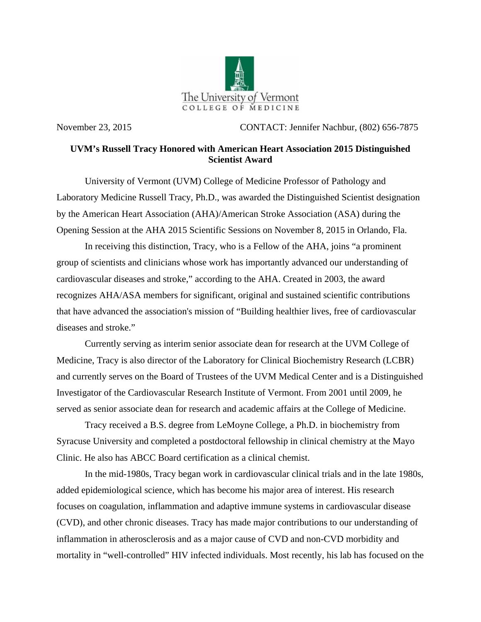

November 23, 2015 CONTACT: Jennifer Nachbur, (802) 656-7875

## **UVM's Russell Tracy Honored with American Heart Association 2015 Distinguished Scientist Award**

University of Vermont (UVM) College of Medicine Professor of Pathology and Laboratory Medicine Russell Tracy, Ph.D., was awarded the Distinguished Scientist designation by the American Heart Association (AHA)/American Stroke Association (ASA) during the Opening Session at the AHA 2015 Scientific Sessions on November 8, 2015 in Orlando, Fla.

In receiving this distinction, Tracy, who is a Fellow of the AHA, joins "a prominent group of scientists and clinicians whose work has importantly advanced our understanding of cardiovascular diseases and stroke," according to the AHA. Created in 2003, the award recognizes AHA/ASA members for significant, original and sustained scientific contributions that have advanced the association's mission of "Building healthier lives, free of cardiovascular diseases and stroke."

Currently serving as interim senior associate dean for research at the UVM College of Medicine, Tracy is also director of the Laboratory for Clinical Biochemistry Research (LCBR) and currently serves on the Board of Trustees of the UVM Medical Center and is a Distinguished Investigator of the Cardiovascular Research Institute of Vermont. From 2001 until 2009, he served as senior associate dean for research and academic affairs at the College of Medicine.

Tracy received a B.S. degree from LeMoyne College, a Ph.D. in biochemistry from Syracuse University and completed a postdoctoral fellowship in clinical chemistry at the Mayo Clinic. He also has ABCC Board certification as a clinical chemist.

In the mid-1980s, Tracy began work in cardiovascular clinical trials and in the late 1980s, added epidemiological science, which has become his major area of interest. His research focuses on coagulation, inflammation and adaptive immune systems in cardiovascular disease (CVD), and other chronic diseases. Tracy has made major contributions to our understanding of inflammation in atherosclerosis and as a major cause of CVD and non-CVD morbidity and mortality in "well-controlled" HIV infected individuals. Most recently, his lab has focused on the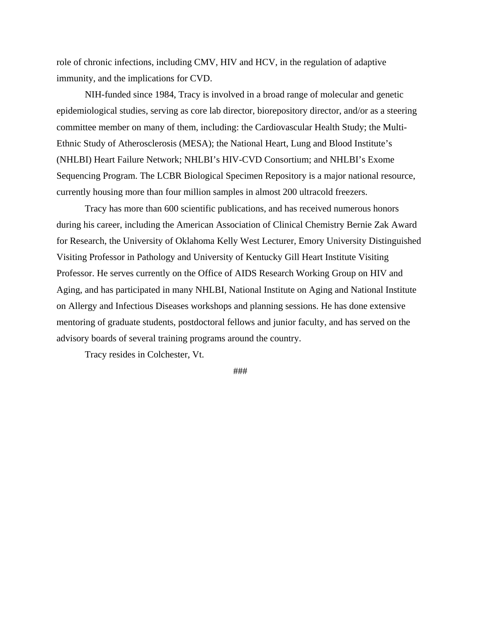role of chronic infections, including CMV, HIV and HCV, in the regulation of adaptive immunity, and the implications for CVD.

NIH-funded since 1984, Tracy is involved in a broad range of molecular and genetic epidemiological studies, serving as core lab director, biorepository director, and/or as a steering committee member on many of them, including: the Cardiovascular Health Study; the Multi-Ethnic Study of Atherosclerosis (MESA); the National Heart, Lung and Blood Institute's (NHLBI) Heart Failure Network; NHLBI's HIV-CVD Consortium; and NHLBI's Exome Sequencing Program. The LCBR Biological Specimen Repository is a major national resource, currently housing more than four million samples in almost 200 ultracold freezers.

Tracy has more than 600 scientific publications, and has received numerous honors during his career, including the American Association of Clinical Chemistry Bernie Zak Award for Research, the University of Oklahoma Kelly West Lecturer, Emory University Distinguished Visiting Professor in Pathology and University of Kentucky Gill Heart Institute Visiting Professor. He serves currently on the Office of AIDS Research Working Group on HIV and Aging, and has participated in many NHLBI, National Institute on Aging and National Institute on Allergy and Infectious Diseases workshops and planning sessions. He has done extensive mentoring of graduate students, postdoctoral fellows and junior faculty, and has served on the advisory boards of several training programs around the country.

Tracy resides in Colchester, Vt.

###